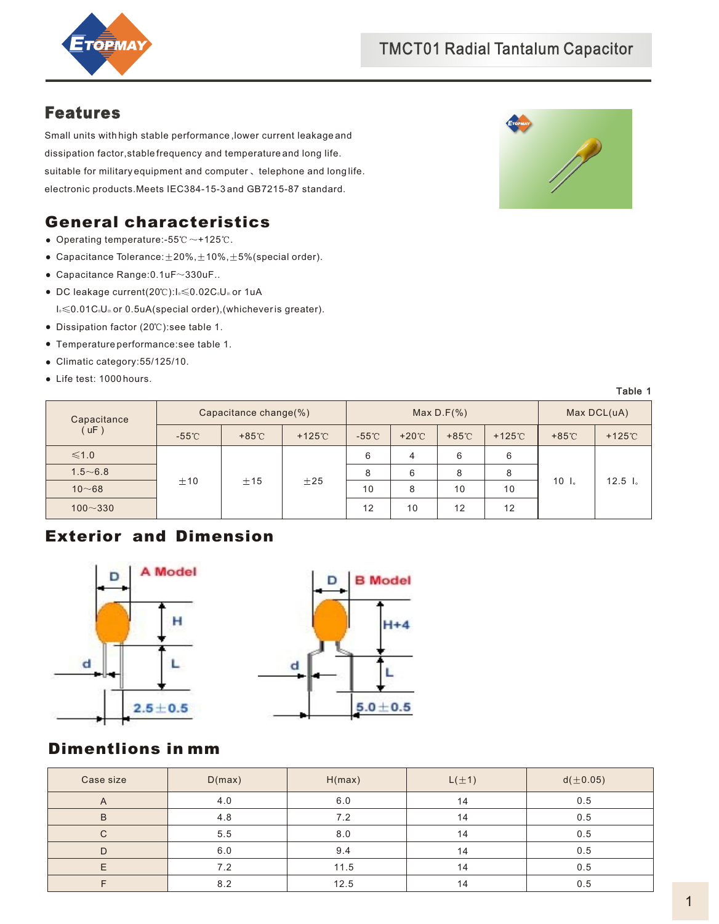

## Features

Small units with high stable performance ,lower current leakage and dissipation factor,stable frequency and temperature and long life. suitable for military equipment and computer, telephone and long life. electronic products.Meets IEC384-15-3 and GB7215-87 standard.

# General characteristics

- Operating temperature:- $55^\circ$ C $\sim$ +125 $\degree$ C.
- Capacitance Tolerance:  $\pm 20\%$ ,  $\pm 10\%$ ,  $\pm 5\%$  (special order).
- $\bullet$  Capacitance Range: 0.1uF $\sim$ 330uF..
- I. ≤0.01C.U. or 0.5uA(special order),(whichever is greater).  $\bullet$  DC leakage current(20°C): $I_0 \leq 0.02C_0U_0$  or 1uA
- Dissipation factor (20°C): see table 1.
- Temperature performance:see table 1.
- Climatic category:55/125/10.
- Life test: 1000 hours.



Table 1

| Capacitance<br>$\left(\right.$ uF $\left.\right)$ | Capacitance change(%) |               |                | Max $D.F(\%)$   |               |                 |                | Max DCL(uA)     |                  |
|---------------------------------------------------|-----------------------|---------------|----------------|-----------------|---------------|-----------------|----------------|-----------------|------------------|
|                                                   | $-55^{\circ}$ C       | $+85^{\circ}$ | $+125^\circ$ C | $-55^{\circ}$ C | $+20^{\circ}$ | $+85^{\circ}$ C | $+125^\circ$ C | $+85^{\circ}$ C | $+125^\circ$     |
| $\leq 1.0$                                        | ±10                   | ±15           | ±25            | 6               |               | 6               | 6              | 10 <sub>1</sub> | $12.5 \text{ l}$ |
| $1.5 - 6.8$                                       |                       |               |                | 8               | 6             | 8               | 8              |                 |                  |
| $10 - 68$                                         |                       |               |                | 10              | 8             | 10              | 10             |                 |                  |
| $100 - 330$                                       |                       |               |                | 12              | 10            | 12              | 12             |                 |                  |

# Exterior and Dimension





# Dimentlions in mm

| Case size      | D(max) | H(max) | $L(\pm 1)$ | d(±0.05) |
|----------------|--------|--------|------------|----------|
| $\overline{A}$ | 4.0    | 6.0    | 14         | 0.5      |
| B              | 4.8    | 7.2    | 14         | 0.5      |
|                | 5.5    | 8.0    | 14         | 0.5      |
|                | 6.0    | 9.4    | 14         | 0.5      |
|                | 7.2    | 11.5   | 14         | 0.5      |
|                | 8.2    | 12.5   | 14         | 0.5      |